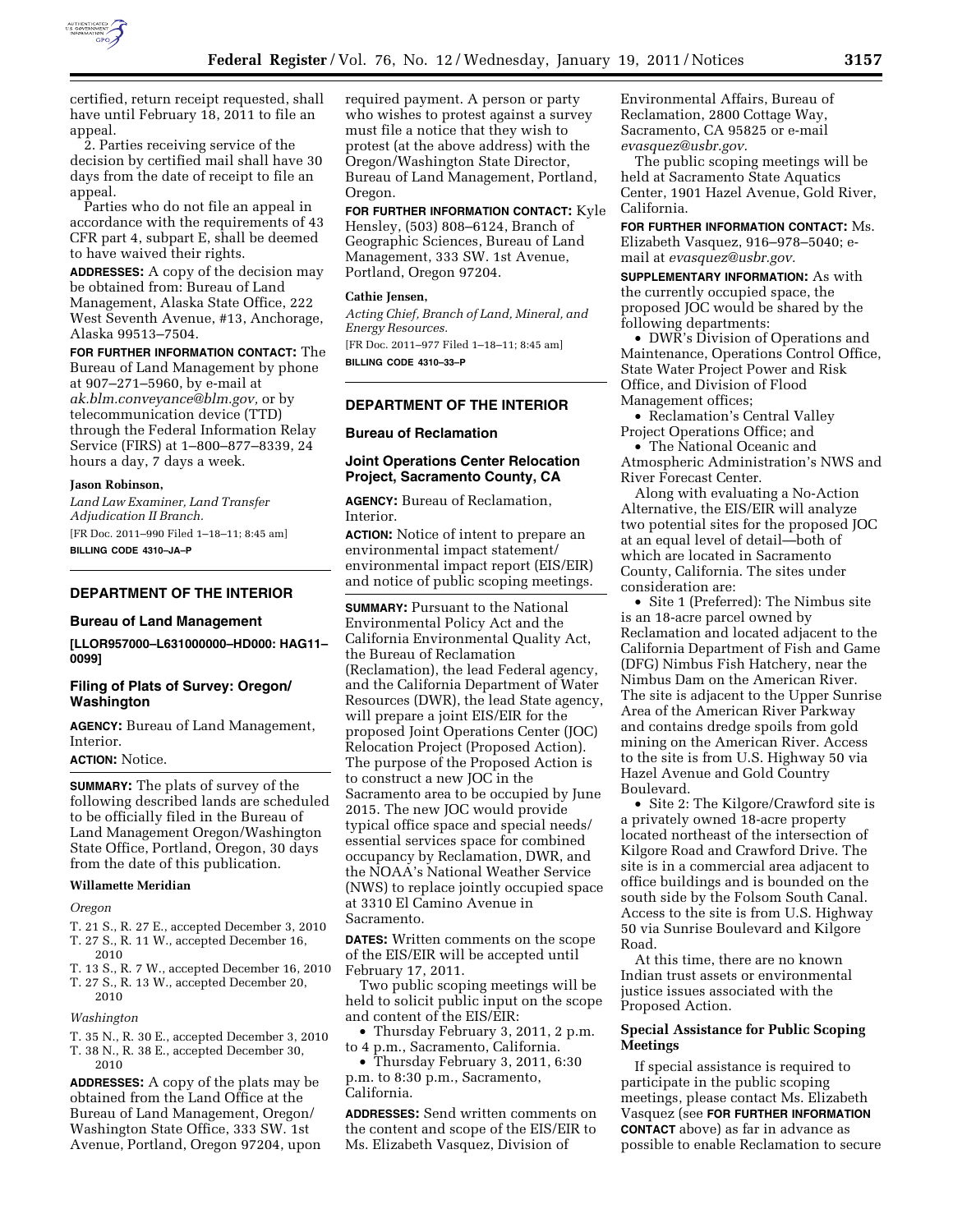

certified, return receipt requested, shall have until February 18, 2011 to file an appeal.

2. Parties receiving service of the decision by certified mail shall have 30 days from the date of receipt to file an appeal.

Parties who do not file an appeal in accordance with the requirements of 43 CFR part 4, subpart E, shall be deemed to have waived their rights.

**ADDRESSES:** A copy of the decision may be obtained from: Bureau of Land Management, Alaska State Office, 222 West Seventh Avenue, #13, Anchorage, Alaska 99513–7504.

**FOR FURTHER INFORMATION CONTACT:** The Bureau of Land Management by phone at 907–271–5960, by e-mail at *[ak.blm.conveyance@blm.gov,](mailto:ak.blm.conveyance@blm.gov)* or by telecommunication device (TTD) through the Federal Information Relay Service (FIRS) at 1–800–877–8339, 24 hours a day, 7 days a week.

## **Jason Robinson,**

*Land Law Examiner, Land Transfer Adjudication II Branch.*  [FR Doc. 2011–990 Filed 1–18–11; 8:45 am] **BILLING CODE 4310–JA–P** 

## **DEPARTMENT OF THE INTERIOR**

#### **Bureau of Land Management**

**[LLOR957000–L631000000–HD000: HAG11– 0099]** 

## **Filing of Plats of Survey: Oregon/ Washington**

**AGENCY:** Bureau of Land Management, Interior.

## **ACTION:** Notice.

**SUMMARY:** The plats of survey of the following described lands are scheduled to be officially filed in the Bureau of Land Management Oregon/Washington State Office, Portland, Oregon, 30 days from the date of this publication.

#### **Willamette Meridian**

#### *Oregon*

- T. 21 S., R. 27 E., accepted December 3, 2010
- T. 27 S., R. 11 W., accepted December 16,
- 2010 T. 13 S., R. 7 W., accepted December 16, 2010
- T. 27 S., R. 13 W., accepted December 20, 2010

#### *Washington*

T. 35 N., R. 30 E., accepted December 3, 2010

T. 38 N., R. 38 E., accepted December 30, 2010

**ADDRESSES:** A copy of the plats may be obtained from the Land Office at the Bureau of Land Management, Oregon/ Washington State Office, 333 SW. 1st Avenue, Portland, Oregon 97204, upon required payment. A person or party who wishes to protest against a survey must file a notice that they wish to protest (at the above address) with the Oregon/Washington State Director, Bureau of Land Management, Portland, Oregon.

**FOR FURTHER INFORMATION CONTACT:** Kyle Hensley, (503) 808–6124, Branch of Geographic Sciences, Bureau of Land

Management, 333 SW. 1st Avenue, Portland, Oregon 97204.

## **Cathie Jensen,**

*Acting Chief, Branch of Land, Mineral, and Energy Resources.* 

[FR Doc. 2011–977 Filed 1–18–11; 8:45 am] **BILLING CODE 4310–33–P** 

#### **DEPARTMENT OF THE INTERIOR**

**Bureau of Reclamation** 

## **Joint Operations Center Relocation Project, Sacramento County, CA**

**AGENCY:** Bureau of Reclamation, Interior.

**ACTION:** Notice of intent to prepare an environmental impact statement/ environmental impact report (EIS/EIR) and notice of public scoping meetings.

**SUMMARY: Pursuant to the National** Environmental Policy Act and the California Environmental Quality Act, the Bureau of Reclamation (Reclamation), the lead Federal agency, and the California Department of Water Resources (DWR), the lead State agency, will prepare a joint EIS/EIR for the proposed Joint Operations Center (JOC) Relocation Project (Proposed Action). The purpose of the Proposed Action is to construct a new JOC in the Sacramento area to be occupied by June 2015. The new JOC would provide typical office space and special needs/ essential services space for combined occupancy by Reclamation, DWR, and the NOAA's National Weather Service (NWS) to replace jointly occupied space at 3310 El Camino Avenue in Sacramento.

**DATES:** Written comments on the scope of the EIS/EIR will be accepted until February 17, 2011.

Two public scoping meetings will be held to solicit public input on the scope and content of the EIS/EIR:

• Thursday February 3, 2011, 2 p.m. to 4 p.m., Sacramento, California.

• Thursday February 3, 2011, 6:30 p.m. to 8:30 p.m., Sacramento, California.

**ADDRESSES:** Send written comments on the content and scope of the EIS/EIR to Ms. Elizabeth Vasquez, Division of

Environmental Affairs, Bureau of Reclamation, 2800 Cottage Way, Sacramento, CA 95825 or e-mail *[evasquez@usbr.gov.](mailto:evasquez@usbr.gov)* 

The public scoping meetings will be held at Sacramento State Aquatics Center, 1901 Hazel Avenue, Gold River, California.

**FOR FURTHER INFORMATION CONTACT:** Ms. Elizabeth Vasquez, 916–978–5040; email at *[evasquez@usbr.gov.](mailto:evasquez@usbr.gov)* 

**SUPPLEMENTARY INFORMATION:** As with the currently occupied space, the proposed JOC would be shared by the following departments:

• DWR's Division of Operations and Maintenance, Operations Control Office, State Water Project Power and Risk Office, and Division of Flood Management offices;

• Reclamation's Central Valley Project Operations Office; and

• The National Oceanic and Atmospheric Administration's NWS and River Forecast Center.

Along with evaluating a No-Action Alternative, the EIS/EIR will analyze two potential sites for the proposed JOC at an equal level of detail—both of which are located in Sacramento County, California. The sites under consideration are:

• Site 1 (Preferred): The Nimbus site is an 18-acre parcel owned by Reclamation and located adjacent to the California Department of Fish and Game (DFG) Nimbus Fish Hatchery, near the Nimbus Dam on the American River. The site is adjacent to the Upper Sunrise Area of the American River Parkway and contains dredge spoils from gold mining on the American River. Access to the site is from U.S. Highway 50 via Hazel Avenue and Gold Country Boulevard.

• Site 2: The Kilgore/Crawford site is a privately owned 18-acre property located northeast of the intersection of Kilgore Road and Crawford Drive. The site is in a commercial area adjacent to office buildings and is bounded on the south side by the Folsom South Canal. Access to the site is from U.S. Highway 50 via Sunrise Boulevard and Kilgore Road.

At this time, there are no known Indian trust assets or environmental justice issues associated with the Proposed Action.

## **Special Assistance for Public Scoping Meetings**

If special assistance is required to participate in the public scoping meetings, please contact Ms. Elizabeth Vasquez (see **FOR FURTHER INFORMATION CONTACT** above) as far in advance as possible to enable Reclamation to secure